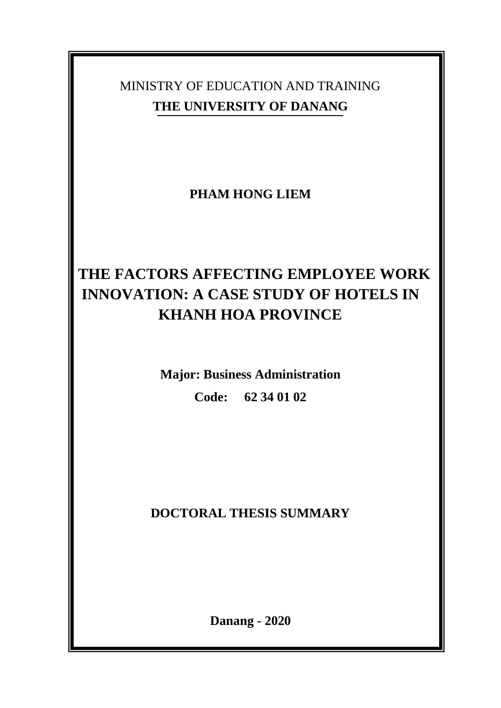# MINISTRY OF EDUCATION AND TRAINING **THE UNIVERSITY OF DANANG**

**PHAM HONG LIEM**

# **THE FACTORS AFFECTING EMPLOYEE WORK INNOVATION: A CASE STUDY OF HOTELS IN KHANH HOA PROVINCE**

**Major: Business Administration Code: 62 34 01 02**

**DOCTORAL THESIS SUMMARY**

**Danang - 2020**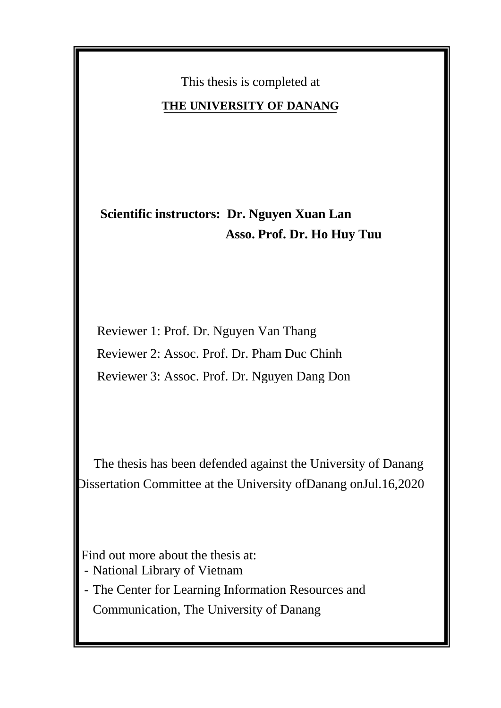This thesis is completed at

### **THE UNIVERSITY OF DANANG**

 **Scientific instructors: Dr. Nguyen Xuan Lan Asso. Prof. Dr. Ho Huy Tuu**

 Reviewer 1: Prof. Dr. Nguyen Van Thang Reviewer 2: Assoc. Prof. Dr. Pham Duc Chinh Reviewer 3: Assoc. Prof. Dr. Nguyen Dang Don

 The thesis has been defended against the University of Danang Dissertation Committee at the University ofDanang onJul.16,2020

Find out more about the thesis at:

- National Library of Vietnam

- The Center for Learning Information Resources and Communication, The University of Danang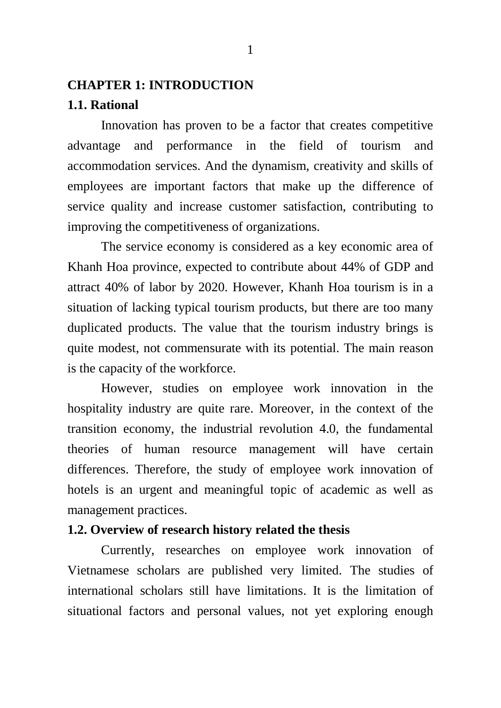# **CHAPTER 1: INTRODUCTION**

### **1.1. Rational**

Innovation has proven to be a factor that creates competitive advantage and performance in the field of tourism and accommodation services. And the dynamism, creativity and skills of employees are important factors that make up the difference of service quality and increase customer satisfaction, contributing to improving the competitiveness of organizations.

The service economy is considered as a key economic area of Khanh Hoa province, expected to contribute about 44% of GDP and attract 40% of labor by 2020. However, Khanh Hoa tourism is in a situation of lacking typical tourism products, but there are too many duplicated products. The value that the tourism industry brings is quite modest, not commensurate with its potential. The main reason is the capacity of the workforce.

However, studies on employee work innovation in the hospitality industry are quite rare. Moreover, in the context of the transition economy, the industrial revolution 4.0, the fundamental theories of human resource management will have certain differences. Therefore, the study of employee work innovation of hotels is an urgent and meaningful topic of academic as well as management practices.

### **1.2. Overview of research history related the thesis**

Currently, researches on employee work innovation of Vietnamese scholars are published very limited. The studies of international scholars still have limitations. It is the limitation of situational factors and personal values, not yet exploring enough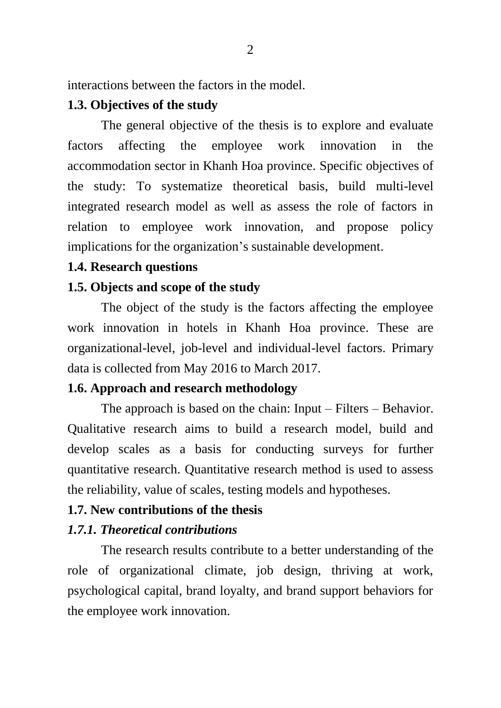interactions between the factors in the model.

### **1.3. Objectives of the study**

The general objective of the thesis is to explore and evaluate factors affecting the employee work innovation in the accommodation sector in Khanh Hoa province. Specific objectives of the study: To systematize theoretical basis, build multi-level integrated research model as well as assess the role of factors in relation to employee work innovation, and propose policy implications for the organization's sustainable development.

#### **1.4. Research questions**

### **1.5. Objects and scope of the study**

The object of the study is the factors affecting the employee work innovation in hotels in Khanh Hoa province. These are organizational-level, job-level and individual-level factors. Primary data is collected from May 2016 to March 2017.

#### **1.6. Approach and research methodology**

The approach is based on the chain: Input – Filters – Behavior. Qualitative research aims to build a research model, build and develop scales as a basis for conducting surveys for further quantitative research. Quantitative research method is used to assess the reliability, value of scales, testing models and hypotheses.

### **1.7. New contributions of the thesis**

### *1.7.1. Theoretical contributions*

The research results contribute to a better understanding of the role of organizational climate, job design, thriving at work, psychological capital, brand loyalty, and brand support behaviors for the employee work innovation.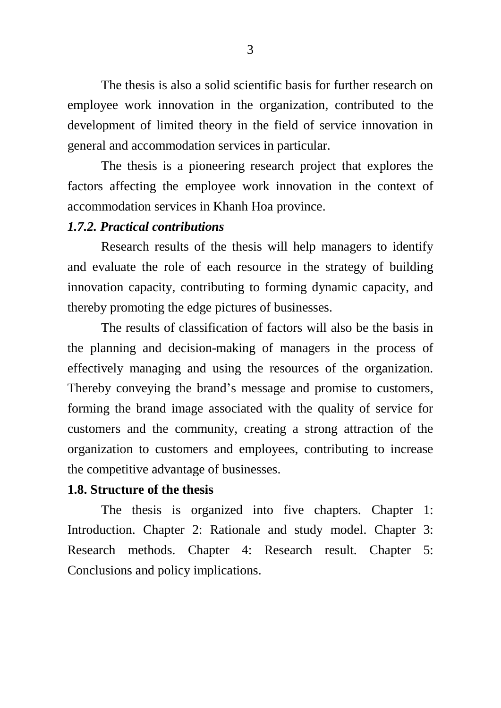The thesis is also a solid scientific basis for further research on employee work innovation in the organization, contributed to the development of limited theory in the field of service innovation in general and accommodation services in particular.

The thesis is a pioneering research project that explores the factors affecting the employee work innovation in the context of accommodation services in Khanh Hoa province.

### *1.7.2. Practical contributions*

Research results of the thesis will help managers to identify and evaluate the role of each resource in the strategy of building innovation capacity, contributing to forming dynamic capacity, and thereby promoting the edge pictures of businesses.

The results of classification of factors will also be the basis in the planning and decision-making of managers in the process of effectively managing and using the resources of the organization. Thereby conveying the brand's message and promise to customers, forming the brand image associated with the quality of service for customers and the community, creating a strong attraction of the organization to customers and employees, contributing to increase the competitive advantage of businesses.

#### **1.8. Structure of the thesis**

The thesis is organized into five chapters. Chapter 1: Introduction. Chapter 2: Rationale and study model. Chapter 3: Research methods. Chapter 4: Research result. Chapter 5: Conclusions and policy implications.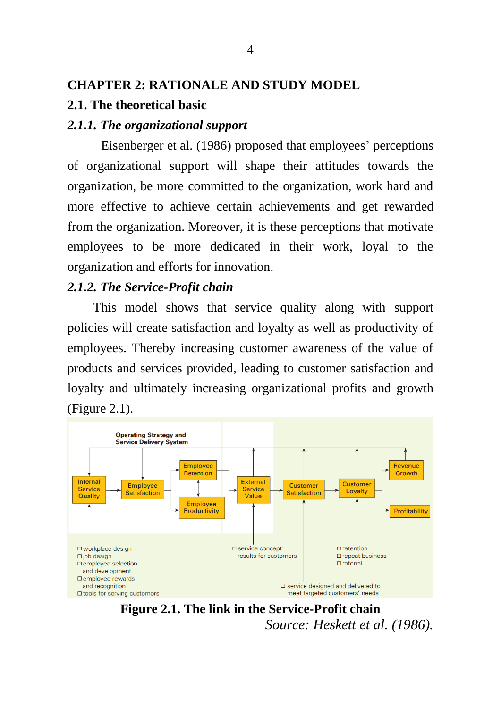### **CHAPTER 2: RATIONALE AND STUDY MODEL**

### **2.1. The theoretical basic**

### *2.1.1. The organizational support*

Eisenberger et al. (1986) proposed that employees' perceptions of organizational support will shape their attitudes towards the organization, be more committed to the organization, work hard and more effective to achieve certain achievements and get rewarded from the organization. Moreover, it is these perceptions that motivate employees to be more dedicated in their work, loyal to the organization and efforts for innovation.

#### *2.1.2. The Service-Profit chain*

This model shows that service quality along with support policies will create satisfaction and loyalty as well as productivity of employees. Thereby increasing customer awareness of the value of products and services provided, leading to customer satisfaction and loyalty and ultimately increasing organizational profits and growth (Figure 2.1).



**Figure 2.1. The link in the Service-Profit chain** *Source: Heskett et al. (1986).*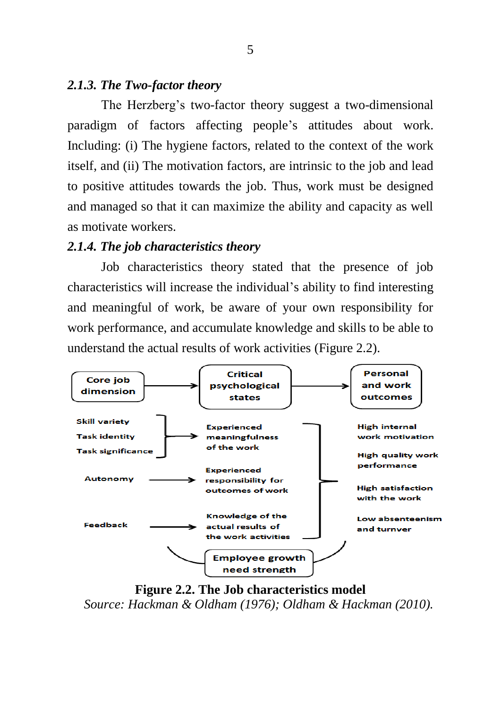### *2.1.3. The Two-factor theory*

The Herzberg's two-factor theory suggest a two-dimensional paradigm of factors affecting people's attitudes about work. Including: (i) The hygiene factors, related to the context of the work itself, and (ii) The motivation factors, are intrinsic to the job and lead to positive attitudes towards the job. Thus, work must be designed and managed so that it can maximize the ability and capacity as well as motivate workers.

### *2.1.4. The job characteristics theory*

Job characteristics theory stated that the presence of job characteristics will increase the individual's ability to find interesting and meaningful of work, be aware of your own responsibility for work performance, and accumulate knowledge and skills to be able to understand the actual results of work activities (Figure 2.2).



**Figure 2.2. The Job characteristics model** *Source: Hackman & Oldham (1976); Oldham & Hackman (2010).*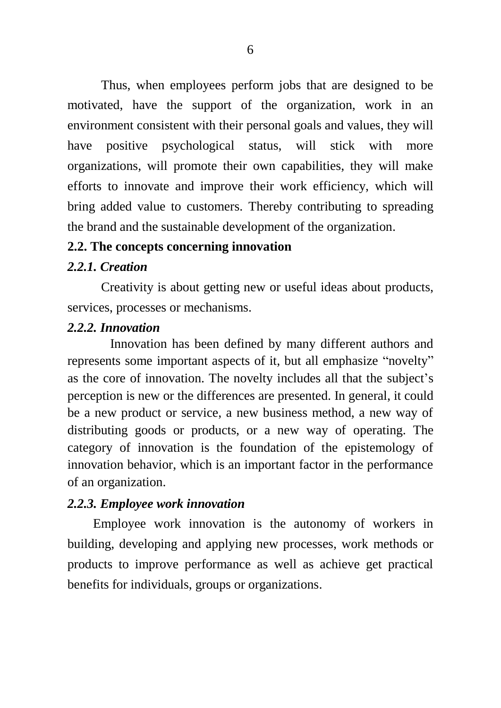Thus, when employees perform jobs that are designed to be motivated, have the support of the organization, work in an environment consistent with their personal goals and values, they will have positive psychological status, will stick with more organizations, will promote their own capabilities, they will make efforts to innovate and improve their work efficiency, which will bring added value to customers. Thereby contributing to spreading the brand and the sustainable development of the organization.

### **2.2. The concepts concerning innovation**

### *2.2.1. Creation*

Creativity is about getting new or useful ideas about products, services, processes or mechanisms.

#### *2.2.2. Innovation*

Innovation has been defined by many different authors and represents some important aspects of it, but all emphasize "novelty" as the core of innovation. The novelty includes all that the subject's perception is new or the differences are presented. In general, it could be a new product or service, a new business method, a new way of distributing goods or products, or a new way of operating. The category of innovation is the foundation of the epistemology of innovation behavior, which is an important factor in the performance of an organization.

### *2.2.3. Employee work innovation*

Employee work innovation is the autonomy of workers in building, developing and applying new processes, work methods or products to improve performance as well as achieve get practical benefits for individuals, groups or organizations.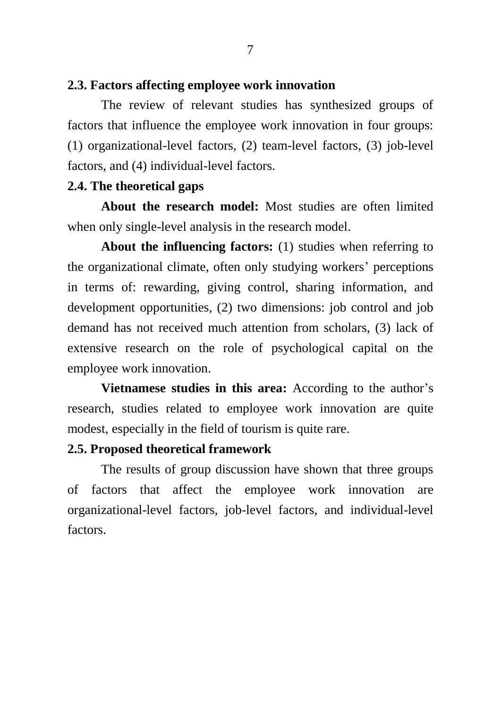### **2.3. Factors affecting employee work innovation**

The review of relevant studies has synthesized groups of factors that influence the employee work innovation in four groups: (1) organizational-level factors, (2) team-level factors, (3) job-level factors, and (4) individual-level factors.

### **2.4. The theoretical gaps**

**About the research model:** Most studies are often limited when only single-level analysis in the research model.

**About the influencing factors:** (1) studies when referring to the organizational climate, often only studying workers' perceptions in terms of: rewarding, giving control, sharing information, and development opportunities, (2) two dimensions: job control and job demand has not received much attention from scholars, (3) lack of extensive research on the role of psychological capital on the employee work innovation.

**Vietnamese studies in this area:** According to the author's research, studies related to employee work innovation are quite modest, especially in the field of tourism is quite rare.

#### **2.5. Proposed theoretical framework**

The results of group discussion have shown that three groups of factors that affect the employee work innovation are organizational-level factors, job-level factors, and individual-level factors.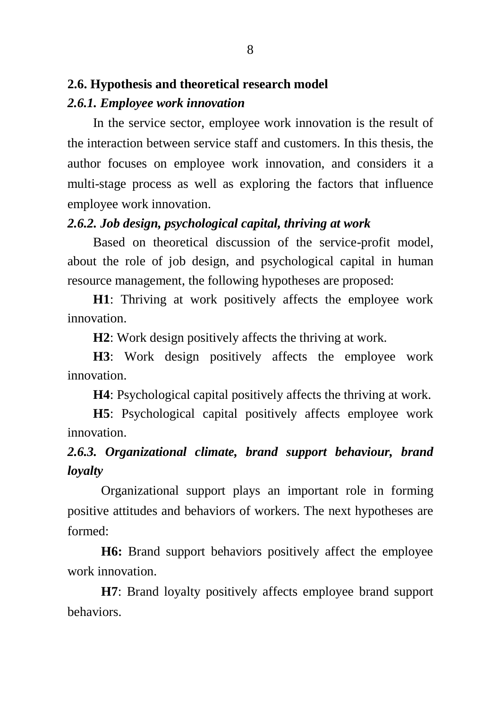### **2.6. Hypothesis and theoretical research model**

### *2.6.1. Employee work innovation*

In the service sector, employee work innovation is the result of the interaction between service staff and customers. In this thesis, the author focuses on employee work innovation, and considers it a multi-stage process as well as exploring the factors that influence employee work innovation.

### *2.6.2. Job design, psychological capital, thriving at work*

Based on theoretical discussion of the service-profit model, about the role of job design, and psychological capital in human resource management, the following hypotheses are proposed:

**H1**: Thriving at work positively affects the employee work innovation.

**H2**: Work design positively affects the thriving at work.

**H3**: Work design positively affects the employee work innovation.

**H4**: Psychological capital positively affects the thriving at work.

**H5**: Psychological capital positively affects employee work innovation.

## *2.6.3. Organizational climate, brand support behaviour, brand loyalty*

Organizational support plays an important role in forming positive attitudes and behaviors of workers. The next hypotheses are formed:

**H6:** Brand support behaviors positively affect the employee work innovation.

**H7**: Brand loyalty positively affects employee brand support behaviors.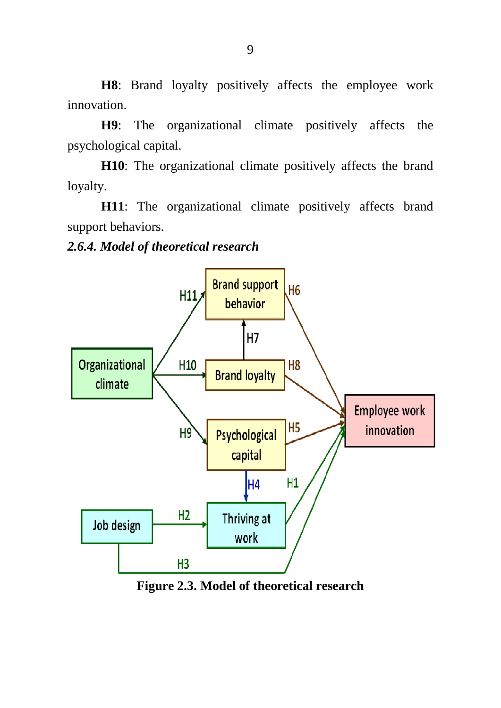**H8**: Brand loyalty positively affects the employee work innovation.

**H9**: The organizational climate positively affects the psychological capital.

**H10**: The organizational climate positively affects the brand loyalty.

**H11**: The organizational climate positively affects brand support behaviors.

### *2.6.4. Model of theoretical research*



**Figure 2.3. Model of theoretical research**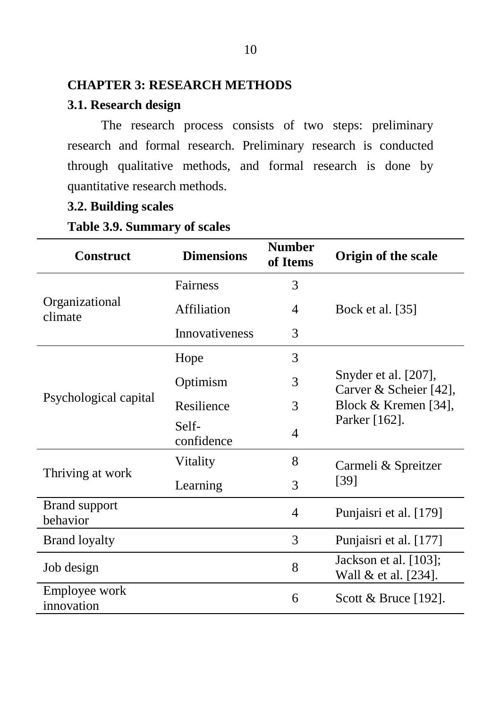### **CHAPTER 3: RESEARCH METHODS**

### **3.1. Research design**

The research process consists of two steps: preliminary research and formal research. Preliminary research is conducted through qualitative methods, and formal research is done by quantitative research methods.

## **3.2. Building scales**

### **Table 3.9. Summary of scales**

| <b>Construct</b>                 | <b>Dimensions</b>   | <b>Number</b><br>of Items | Origin of the scale                            |
|----------------------------------|---------------------|---------------------------|------------------------------------------------|
|                                  | Fairness            | 3                         |                                                |
| Organizational<br>climate        | Affiliation         | 4                         | Bock et al. [35]                               |
|                                  | Innovativeness<br>3 |                           |                                                |
|                                  | Hope                | 3                         |                                                |
|                                  | Optimism            | 3                         | Snyder et al. [207],<br>Carver & Scheier [42], |
| Psychological capital            | Resilience          | 3                         | Block & Kremen [34],                           |
|                                  | Self-<br>confidence | 4                         | Parker [162].                                  |
|                                  | Vitality            | 8                         | Carmeli & Spreitzer                            |
| Thriving at work                 | Learning            | 3                         | [39]                                           |
| <b>Brand support</b><br>behavior |                     | 4                         | Punjaisri et al. [179]                         |
| <b>Brand loyalty</b>             |                     | 3                         | Punjaisri et al. [177]                         |
| Job design                       |                     | 8                         | Jackson et al. [103];<br>Wall & et al. [234].  |
| Employee work<br>innovation      |                     | 6                         | Scott & Bruce [192].                           |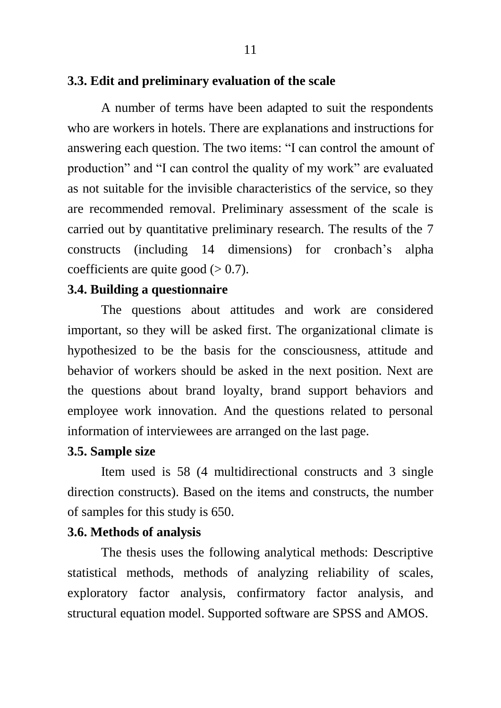### **3.3. Edit and preliminary evaluation of the scale**

A number of terms have been adapted to suit the respondents who are workers in hotels. There are explanations and instructions for answering each question. The two items: "I can control the amount of production" and "I can control the quality of my work" are evaluated as not suitable for the invisible characteristics of the service, so they are recommended removal. Preliminary assessment of the scale is carried out by quantitative preliminary research. The results of the 7 constructs (including 14 dimensions) for cronbach's alpha coefficients are quite good  $(> 0.7)$ .

11

### **3.4. Building a questionnaire**

The questions about attitudes and work are considered important, so they will be asked first. The organizational climate is hypothesized to be the basis for the consciousness, attitude and behavior of workers should be asked in the next position. Next are the questions about brand loyalty, brand support behaviors and employee work innovation. And the questions related to personal information of interviewees are arranged on the last page.

### **3.5. Sample size**

Item used is 58 (4 multidirectional constructs and 3 single direction constructs). Based on the items and constructs, the number of samples for this study is 650.

### **3.6. Methods of analysis**

The thesis uses the following analytical methods: Descriptive statistical methods, methods of analyzing reliability of scales, exploratory factor analysis, confirmatory factor analysis, and structural equation model. Supported software are SPSS and AMOS.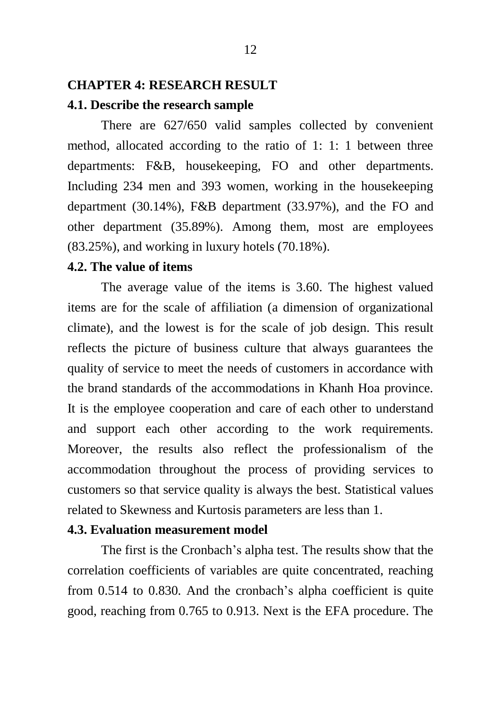### **CHAPTER 4: RESEARCH RESULT**

### **4.1. Describe the research sample**

There are 627/650 valid samples collected by convenient method, allocated according to the ratio of 1: 1: 1 between three departments: F&B, housekeeping, FO and other departments. Including 234 men and 393 women, working in the housekeeping department (30.14%), F&B department (33.97%), and the FO and other department (35.89%). Among them, most are employees (83.25%), and working in luxury hotels (70.18%).

#### **4.2. The value of items**

The average value of the items is 3.60. The highest valued items are for the scale of affiliation (a dimension of organizational climate), and the lowest is for the scale of job design. This result reflects the picture of business culture that always guarantees the quality of service to meet the needs of customers in accordance with the brand standards of the accommodations in Khanh Hoa province. It is the employee cooperation and care of each other to understand and support each other according to the work requirements. Moreover, the results also reflect the professionalism of the accommodation throughout the process of providing services to customers so that service quality is always the best. Statistical values related to Skewness and Kurtosis parameters are less than 1.

### **4.3. Evaluation measurement model**

The first is the Cronbach's alpha test. The results show that the correlation coefficients of variables are quite concentrated, reaching from 0.514 to 0.830. And the cronbach's alpha coefficient is quite good, reaching from 0.765 to 0.913. Next is the EFA procedure. The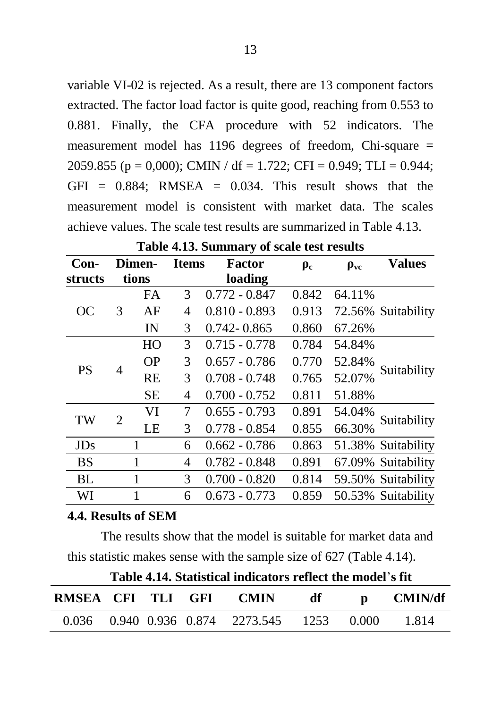variable VI-02 is rejected. As a result, there are 13 component factors extracted. The factor load factor is quite good, reaching from 0.553 to 0.881. Finally, the CFA procedure with 52 indicators. The measurement model has 1196 degrees of freedom, Chi-square = 2059.855 (p = 0,000); CMIN / df = 1.722; CFI = 0.949; TLI = 0.944;  $GFI = 0.884$ : RMSEA = 0.034. This result shows that the measurement model is consistent with market data. The scales achieve values. The scale test results are summarized in Table 4.13.

| $Con-$     |   | Dimen-    | <b>Items</b> | Factor          | $\rho_c$ | $\rho_{\rm vc}$ | <b>Values</b>      |  |
|------------|---|-----------|--------------|-----------------|----------|-----------------|--------------------|--|
| structs    |   | tions     |              | loading         |          |                 |                    |  |
|            |   | <b>FA</b> | 3            | $0.772 - 0.847$ | 0.842    | 64.11%          | 72.56% Suitability |  |
| <b>OC</b>  | 3 | AF        | 4            | $0.810 - 0.893$ | 0.913    |                 |                    |  |
|            |   | IN        | 3            | $0.742 - 0.865$ | 0.860    | 67.26%          |                    |  |
|            |   | HO        | 3            | $0.715 - 0.778$ | 0.784    | 54.84%          |                    |  |
| <b>PS</b>  |   | <b>OP</b> | 3            | $0.657 - 0.786$ | 0.770    | 52.84%          | Suitability        |  |
|            | 4 | <b>RE</b> | 3            | $0.708 - 0.748$ | 0.765    | 52.07%          |                    |  |
|            |   | <b>SE</b> | 4            | $0.700 - 0.752$ | 0.811    | 51.88%          |                    |  |
| TW         | 2 | VI        | 7            | $0.655 - 0.793$ | 0.891    | 54.04%          | Suitability        |  |
|            |   | LE        | 3            | $0.778 - 0.854$ | 0.855    | 66.30%          |                    |  |
| <b>JDs</b> |   | 1         | 6            | $0.662 - 0.786$ | 0.863    |                 | 51.38% Suitability |  |
| <b>BS</b>  |   | 1         | 4            | $0.782 - 0.848$ | 0.891    |                 | 67.09% Suitability |  |
| BL         |   | 1         | 3            | $0.700 - 0.820$ | 0.814    |                 | 59.50% Suitability |  |
| WI         |   | 1         | 6            | $0.673 - 0.773$ | 0.859    |                 | 50.53% Suitability |  |

**Table 4.13. Summary of scale test results**

#### **4.4. Results of SEM**

The results show that the model is suitable for market data and this statistic makes sense with the sample size of 627 (Table 4.14).

|                   |  | Table 4.14. Statistical indicators reflect the model s ilt |                                                                                                                                                                                                                                 |           |
|-------------------|--|------------------------------------------------------------|---------------------------------------------------------------------------------------------------------------------------------------------------------------------------------------------------------------------------------|-----------|
| RMSEA CFI TLI GFI |  | <b>CMIN</b>                                                | df to the distribution of the set of the set of the set of the set of the set of the set of the set of the set<br>of the set of the set of the set of the set of the set of the set of the set of the set of the set of the set | p CMIN/df |
|                   |  | 0.036 0.940 0.936 0.874 2273.545 1253 0.000                |                                                                                                                                                                                                                                 | 1.814     |

**Table 4.14. Statistical indicators reflect the model**'**s fit**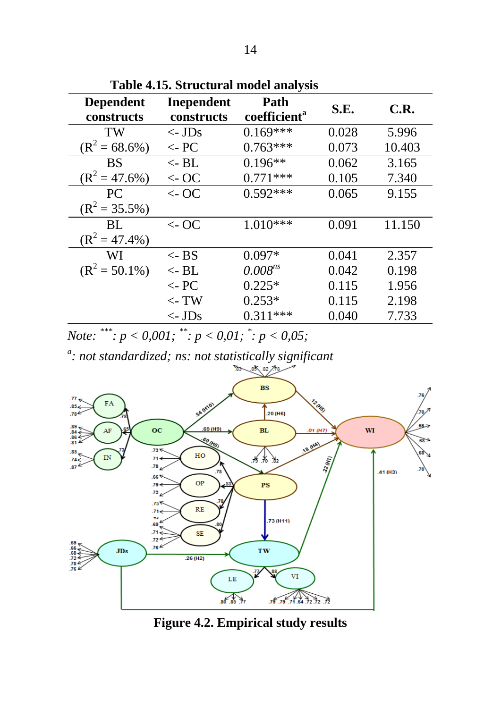| <b>Dependent</b><br>constructs | <b>Inependent</b><br>constructs | Path<br>coefficient <sup>a</sup> | S.E.  | C.R.   |
|--------------------------------|---------------------------------|----------------------------------|-------|--------|
| TW                             | $\langle$ - JDs                 | $0.169***$                       | 0.028 | 5.996  |
| $(R^2 = 68.6\%)$               | $\leftarrow$ PC                 | $0.763***$                       | 0.073 | 10.403 |
| <b>BS</b>                      | $\leftarrow$ BL                 | $0.196**$                        | 0.062 | 3.165  |
| $(R^2 = 47.6\%)$               | $\leftarrow$ OC                 | $0.771***$                       | 0.105 | 7.340  |
| PC.                            | $\leftarrow$ OC                 | $0.592***$                       | 0.065 | 9.155  |
| $(R^2 = 35.5\%)$               |                                 |                                  |       |        |
| BL.                            | $\leftarrow$ OC                 | $1.010***$                       | 0.091 | 11.150 |
| $(R^2 = 47.4\%)$               |                                 |                                  |       |        |
| WI                             | $\langle$ - BS                  | $0.097*$                         | 0.041 | 2.357  |
| $(R^2 = 50.1\%)$               | $\lt$ - BL                      | $0.008^{ns}$                     | 0.042 | 0.198  |
|                                | $\leftarrow$ PC                 | $0.225*$                         | 0.115 | 1.956  |
|                                | $\lt$ - TW                      | $0.253*$                         | 0.115 | 2.198  |
|                                | $\langle$ - JDs                 | $0.311***$                       | 0.040 | 7.733  |

**Table 4.15. Structural model analysis**

*Note: \*\*\*: p < 0,001; \*\*: p < 0,01; \* : p < 0,05;*

*a : not standardized; ns: not statistically significant*



**Figure 4.2. Empirical study results**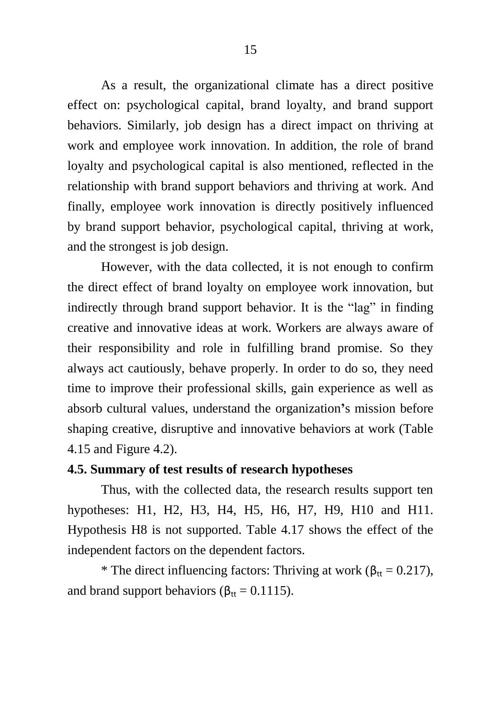As a result, the organizational climate has a direct positive effect on: psychological capital, brand loyalty, and brand support behaviors. Similarly, job design has a direct impact on thriving at work and employee work innovation. In addition, the role of brand loyalty and psychological capital is also mentioned, reflected in the relationship with brand support behaviors and thriving at work. And finally, employee work innovation is directly positively influenced by brand support behavior, psychological capital, thriving at work, and the strongest is job design.

However, with the data collected, it is not enough to confirm the direct effect of brand loyalty on employee work innovation, but indirectly through brand support behavior. It is the "lag" in finding creative and innovative ideas at work. Workers are always aware of their responsibility and role in fulfilling brand promise. So they always act cautiously, behave properly. In order to do so, they need time to improve their professional skills, gain experience as well as absorb cultural values, understand the organization**'**s mission before shaping creative, disruptive and innovative behaviors at work (Table 4.15 and Figure 4.2).

### **4.5. Summary of test results of research hypotheses**

Thus, with the collected data, the research results support ten hypotheses: H1, H2, H3, H4, H5, H6, H7, H9, H10 and H11. Hypothesis H8 is not supported. Table 4.17 shows the effect of the independent factors on the dependent factors.

\* The direct influencing factors: Thriving at work ( $\beta_{tt} = 0.217$ ), and brand support behaviors ( $\beta_{tt} = 0.1115$ ).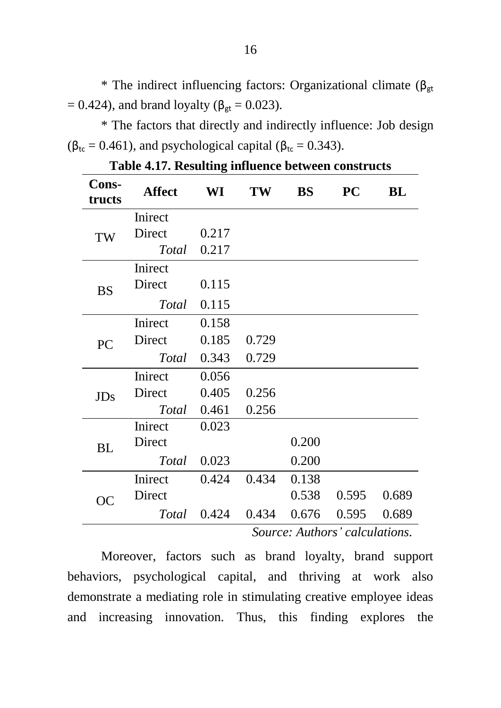\* The indirect influencing factors: Organizational climate ( $\beta_{gt}$  $= 0.424$ ), and brand loyalty (β<sub>gt</sub> = 0.023).

\* The factors that directly and indirectly influence: Job design  $(\beta_{\text{tr}} = 0.461)$ , and psychological capital ( $\beta_{\text{tr}} = 0.343$ ).

| Cons-<br>tructs | Affect                         | WI    | TW    | BS    | <b>PC</b> | BL    |
|-----------------|--------------------------------|-------|-------|-------|-----------|-------|
|                 | Inirect                        |       |       |       |           |       |
| TW              | Direct                         | 0.217 |       |       |           |       |
|                 | Total                          | 0.217 |       |       |           |       |
|                 | Inirect                        |       |       |       |           |       |
| <b>BS</b>       | Direct                         | 0.115 |       |       |           |       |
|                 | Total                          | 0.115 |       |       |           |       |
|                 | Inirect                        | 0.158 |       |       |           |       |
| PC              | Direct                         | 0.185 | 0.729 |       |           |       |
|                 | Total                          | 0.343 | 0.729 |       |           |       |
|                 | Inirect                        | 0.056 |       |       |           |       |
| JDs             | Direct                         | 0.405 | 0.256 |       |           |       |
|                 | Total                          | 0.461 | 0.256 |       |           |       |
|                 | Inirect                        | 0.023 |       |       |           |       |
| <b>BL</b>       | Direct                         |       |       | 0.200 |           |       |
|                 | Total                          | 0.023 |       | 0.200 |           |       |
| <b>OC</b>       | Inirect                        | 0.424 | 0.434 | 0.138 |           |       |
|                 | Direct                         |       |       | 0.538 | 0.595     | 0.689 |
|                 | Total                          | 0.424 | 0.434 | 0.676 | 0.595     | 0.689 |
|                 | Source: Authors' calculations. |       |       |       |           |       |

**Table 4.17. Resulting influence between constructs**

Moreover, factors such as brand loyalty, brand support behaviors, psychological capital, and thriving at work also demonstrate a mediating role in stimulating creative employee ideas and increasing innovation. Thus, this finding explores the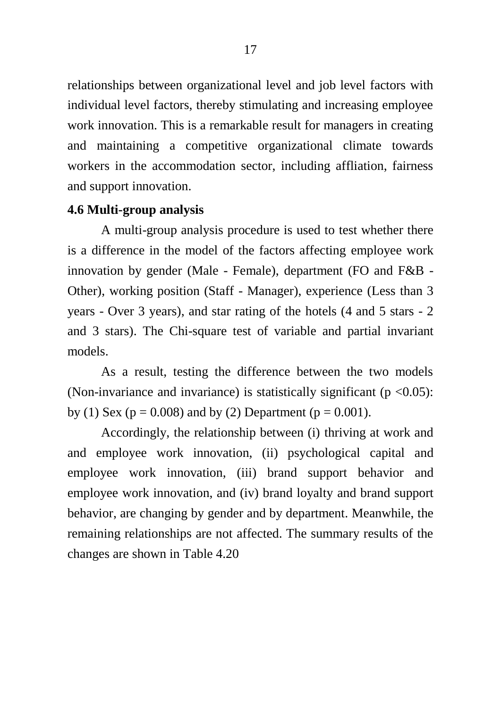relationships between organizational level and job level factors with individual level factors, thereby stimulating and increasing employee work innovation. This is a remarkable result for managers in creating and maintaining a competitive organizational climate towards workers in the accommodation sector, including affliation, fairness and support innovation.

### **4.6 Multi-group analysis**

A multi-group analysis procedure is used to test whether there is a difference in the model of the factors affecting employee work innovation by gender (Male - Female), department (FO and F&B - Other), working position (Staff - Manager), experience (Less than 3 years - Over 3 years), and star rating of the hotels (4 and 5 stars - 2 and 3 stars). The Chi-square test of variable and partial invariant models.

As a result, testing the difference between the two models (Non-invariance and invariance) is statistically significant ( $p \le 0.05$ ): by (1) Sex ( $p = 0.008$ ) and by (2) Department ( $p = 0.001$ ).

Accordingly, the relationship between (i) thriving at work and and employee work innovation, (ii) psychological capital and employee work innovation, (iii) brand support behavior and employee work innovation, and (iv) brand loyalty and brand support behavior, are changing by gender and by department. Meanwhile, the remaining relationships are not affected. The summary results of the changes are shown in Table 4.20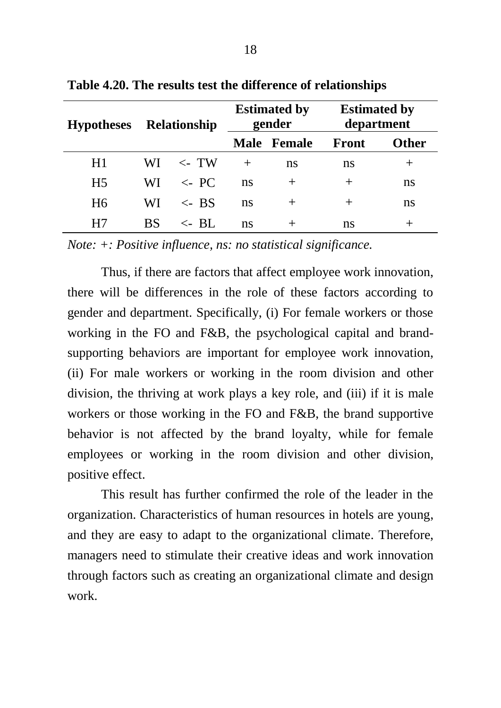| <b>Relationship</b><br><b>Hypotheses</b> |           |                 | <b>Estimated by</b><br>gender |             | <b>Estimated by</b><br>department |              |
|------------------------------------------|-----------|-----------------|-------------------------------|-------------|-----------------------------------|--------------|
|                                          |           |                 |                               | Male Female | Front                             | <b>Other</b> |
| H1                                       | WI.       | $\lt$ - TW      |                               | ns          | ns.                               |              |
| H <sub>5</sub>                           | WI.       | $\lt$ PC        | ns                            | $^{+}$      | $^+$                              | ns           |
| H <sub>6</sub>                           | WI.       | $\epsilon$ - BS | ns                            | $^{+}$      | $^{+}$                            | ns           |
| H7                                       | <b>BS</b> | $\lt$ - RL      | ns                            | $^+$        | ns                                |              |

**Table 4.20. The results test the difference of relationships**

*Note: +: Positive influence, ns: no statistical significance.*

Thus, if there are factors that affect employee work innovation, there will be differences in the role of these factors according to gender and department. Specifically, (i) For female workers or those working in the FO and F&B, the psychological capital and brandsupporting behaviors are important for employee work innovation, (ii) For male workers or working in the room division and other division, the thriving at work plays a key role, and (iii) if it is male workers or those working in the FO and F&B, the brand supportive behavior is not affected by the brand loyalty, while for female employees or working in the room division and other division, positive effect.

This result has further confirmed the role of the leader in the organization. Characteristics of human resources in hotels are young, and they are easy to adapt to the organizational climate. Therefore, managers need to stimulate their creative ideas and work innovation through factors such as creating an organizational climate and design work.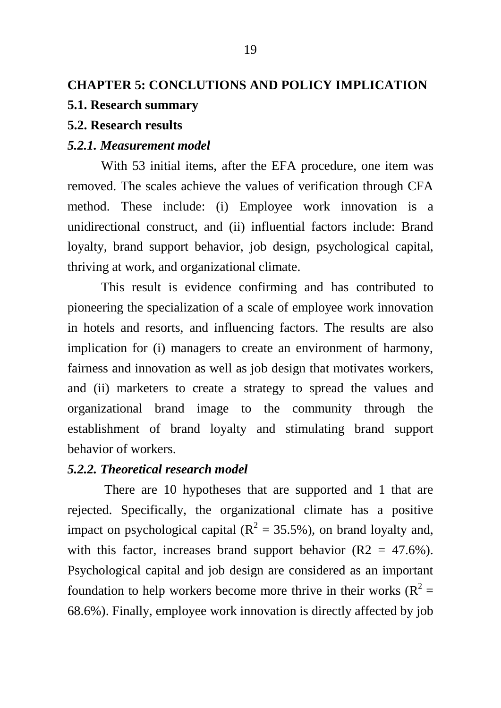# **CHAPTER 5: CONCLUTIONS AND POLICY IMPLICATION**

### **5.1. Research summary**

### **5.2. Research results**

#### *5.2.1. Measurement model*

With 53 initial items, after the EFA procedure, one item was removed. The scales achieve the values of verification through CFA method. These include: (i) Employee work innovation is a unidirectional construct, and (ii) influential factors include: Brand loyalty, brand support behavior, job design, psychological capital, thriving at work, and organizational climate.

This result is evidence confirming and has contributed to pioneering the specialization of a scale of employee work innovation in hotels and resorts, and influencing factors. The results are also implication for (i) managers to create an environment of harmony, fairness and innovation as well as job design that motivates workers, and (ii) marketers to create a strategy to spread the values and organizational brand image to the community through the establishment of brand loyalty and stimulating brand support behavior of workers.

### *5.2.2. Theoretical research model*

There are 10 hypotheses that are supported and 1 that are rejected. Specifically, the organizational climate has a positive impact on psychological capital ( $R^2 = 35.5\%$ ), on brand loyalty and, with this factor, increases brand support behavior  $(R2 = 47.6\%)$ . Psychological capital and job design are considered as an important foundation to help workers become more thrive in their works  $(R^2 =$ 68.6%). Finally, employee work innovation is directly affected by job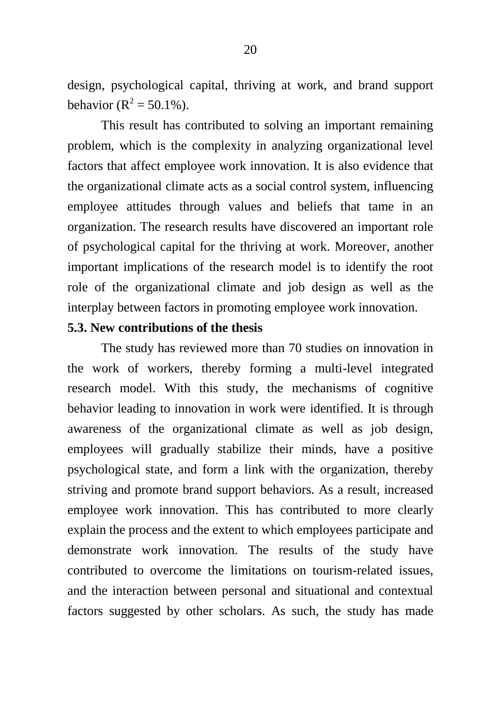design, psychological capital, thriving at work, and brand support behavior ( $R^2 = 50.1\%$ ).

This result has contributed to solving an important remaining problem, which is the complexity in analyzing organizational level factors that affect employee work innovation. It is also evidence that the organizational climate acts as a social control system, influencing employee attitudes through values and beliefs that tame in an organization. The research results have discovered an important role of psychological capital for the thriving at work. Moreover, another important implications of the research model is to identify the root role of the organizational climate and job design as well as the interplay between factors in promoting employee work innovation.

#### **5.3. New contributions of the thesis**

The study has reviewed more than 70 studies on innovation in the work of workers, thereby forming a multi-level integrated research model. With this study, the mechanisms of cognitive behavior leading to innovation in work were identified. It is through awareness of the organizational climate as well as job design, employees will gradually stabilize their minds, have a positive psychological state, and form a link with the organization, thereby striving and promote brand support behaviors. As a result, increased employee work innovation. This has contributed to more clearly explain the process and the extent to which employees participate and demonstrate work innovation. The results of the study have contributed to overcome the limitations on tourism-related issues, and the interaction between personal and situational and contextual factors suggested by other scholars. As such, the study has made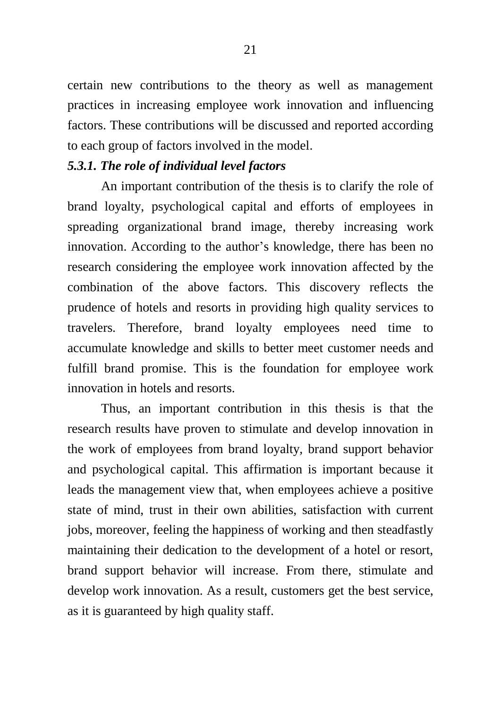certain new contributions to the theory as well as management practices in increasing employee work innovation and influencing factors. These contributions will be discussed and reported according to each group of factors involved in the model.

### *5.3.1. The role of individual level factors*

An important contribution of the thesis is to clarify the role of brand loyalty, psychological capital and efforts of employees in spreading organizational brand image, thereby increasing work innovation. According to the author's knowledge, there has been no research considering the employee work innovation affected by the combination of the above factors. This discovery reflects the prudence of hotels and resorts in providing high quality services to travelers. Therefore, brand loyalty employees need time to accumulate knowledge and skills to better meet customer needs and fulfill brand promise. This is the foundation for employee work innovation in hotels and resorts.

Thus, an important contribution in this thesis is that the research results have proven to stimulate and develop innovation in the work of employees from brand loyalty, brand support behavior and psychological capital. This affirmation is important because it leads the management view that, when employees achieve a positive state of mind, trust in their own abilities, satisfaction with current jobs, moreover, feeling the happiness of working and then steadfastly maintaining their dedication to the development of a hotel or resort, brand support behavior will increase. From there, stimulate and develop work innovation. As a result, customers get the best service, as it is guaranteed by high quality staff.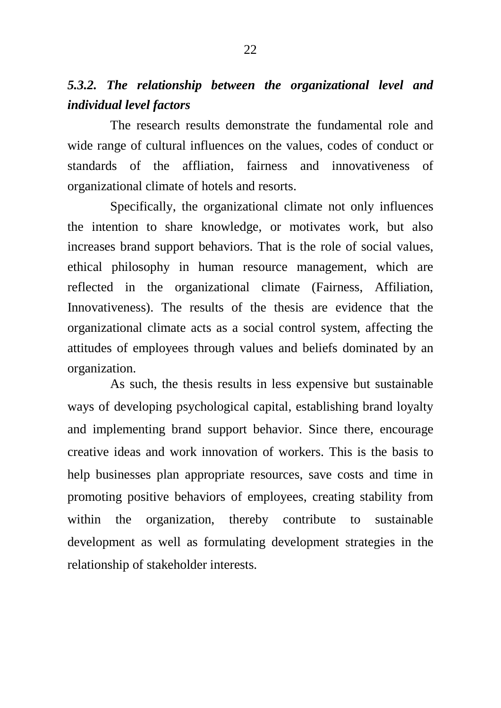# *5.3.2. The relationship between the organizational level and individual level factors*

The research results demonstrate the fundamental role and wide range of cultural influences on the values, codes of conduct or standards of the affliation, fairness and innovativeness of organizational climate of hotels and resorts.

Specifically, the organizational climate not only influences the intention to share knowledge, or motivates work, but also increases brand support behaviors. That is the role of social values, ethical philosophy in human resource management, which are reflected in the organizational climate (Fairness, Affiliation, Innovativeness). The results of the thesis are evidence that the organizational climate acts as a social control system, affecting the attitudes of employees through values and beliefs dominated by an organization.

As such, the thesis results in less expensive but sustainable ways of developing psychological capital, establishing brand loyalty and implementing brand support behavior. Since there, encourage creative ideas and work innovation of workers. This is the basis to help businesses plan appropriate resources, save costs and time in promoting positive behaviors of employees, creating stability from within the organization, thereby contribute to sustainable development as well as formulating development strategies in the relationship of stakeholder interests.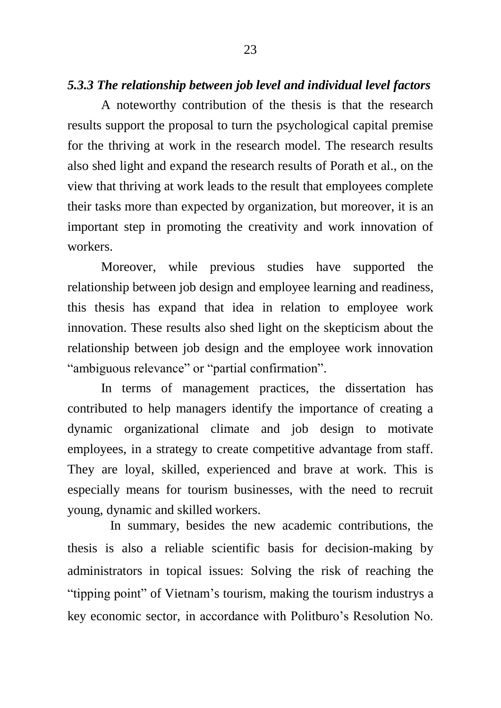### *5.3.3 The relationship between job level and individual level factors*

A noteworthy contribution of the thesis is that the research results support the proposal to turn the psychological capital premise for the thriving at work in the research model. The research results also shed light and expand the research results of Porath et al., on the view that thriving at work leads to the result that employees complete their tasks more than expected by organization, but moreover, it is an important step in promoting the creativity and work innovation of workers.

Moreover, while previous studies have supported the relationship between job design and employee learning and readiness, this thesis has expand that idea in relation to employee work innovation. These results also shed light on the skepticism about the relationship between job design and the employee work innovation "ambiguous relevance" or "partial confirmation".

In terms of management practices, the dissertation has contributed to help managers identify the importance of creating a dynamic organizational climate and job design to motivate employees, in a strategy to create competitive advantage from staff. They are loyal, skilled, experienced and brave at work. This is especially means for tourism businesses, with the need to recruit young, dynamic and skilled workers.

In summary, besides the new academic contributions, the thesis is also a reliable scientific basis for decision-making by administrators in topical issues: Solving the risk of reaching the "tipping point" of Vietnam's tourism, making the tourism industrys a key economic sector, in accordance with Politburo's Resolution No.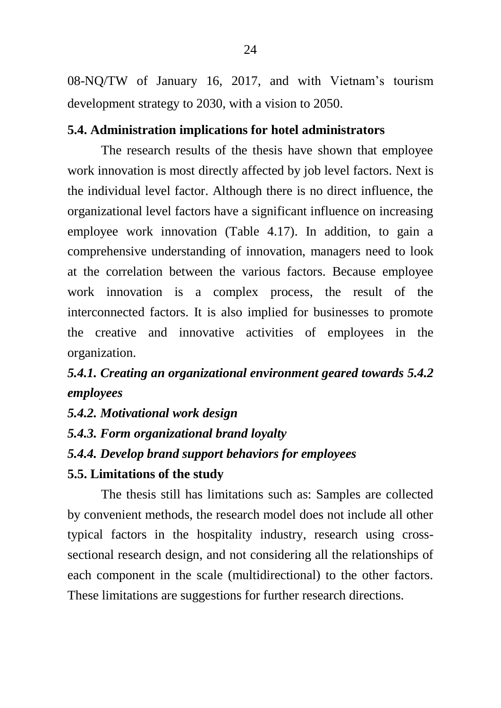08-NQ/TW of January 16, 2017, and with Vietnam's tourism development strategy to 2030, with a vision to 2050.

### **5.4. Administration implications for hotel administrators**

The research results of the thesis have shown that employee work innovation is most directly affected by job level factors. Next is the individual level factor. Although there is no direct influence, the organizational level factors have a significant influence on increasing employee work innovation (Table 4.17). In addition, to gain a comprehensive understanding of innovation, managers need to look at the correlation between the various factors. Because employee work innovation is a complex process, the result of the interconnected factors. It is also implied for businesses to promote the creative and innovative activities of employees in the organization.

# *5.4.1. Creating an organizational environment geared towards 5.4.2 employees*

- *5.4.2. Motivational work design*
- *5.4.3. Form organizational brand loyalty*
- *5.4.4. Develop brand support behaviors for employees*

### **5.5. Limitations of the study**

The thesis still has limitations such as: Samples are collected by convenient methods, the research model does not include all other typical factors in the hospitality industry, research using crosssectional research design, and not considering all the relationships of each component in the scale (multidirectional) to the other factors. These limitations are suggestions for further research directions.